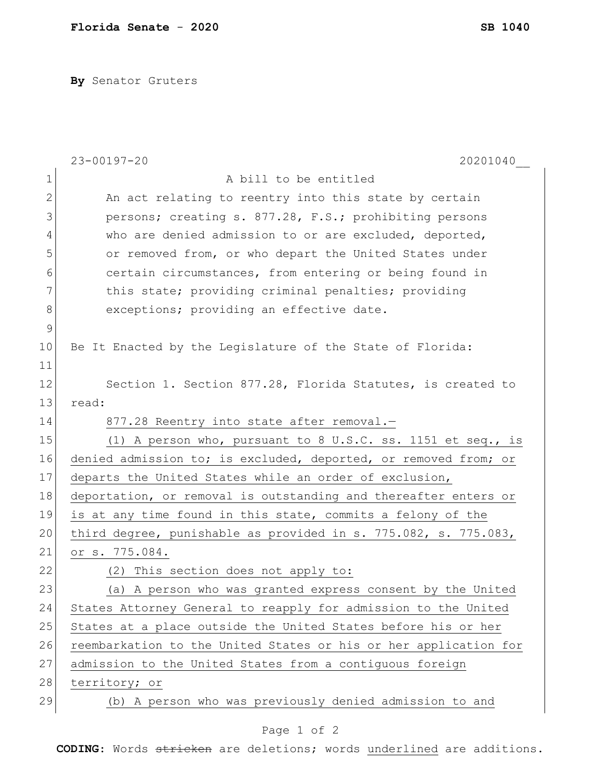**By** Senator Gruters

|               | $23 - 00197 - 20$<br>20201040                                    |
|---------------|------------------------------------------------------------------|
| 1             | A bill to be entitled                                            |
| 2             | An act relating to reentry into this state by certain            |
| 3             | persons; creating s. 877.28, F.S.; prohibiting persons           |
| 4             | who are denied admission to or are excluded, deported,           |
| 5             | or removed from, or who depart the United States under           |
| 6             | certain circumstances, from entering or being found in           |
| 7             | this state; providing criminal penalties; providing              |
| 8             | exceptions; providing an effective date.                         |
| $\mathcal{G}$ |                                                                  |
| 10            | Be It Enacted by the Legislature of the State of Florida:        |
| 11            |                                                                  |
| 12            | Section 1. Section 877.28, Florida Statutes, is created to       |
| 13            | read:                                                            |
| 14            | 877.28 Reentry into state after removal.-                        |
| 15            | (1) A person who, pursuant to 8 U.S.C. ss. 1151 et seq., is      |
| 16            | denied admission to; is excluded, deported, or removed from; or  |
| 17            | departs the United States while an order of exclusion,           |
| 18            | deportation, or removal is outstanding and thereafter enters or  |
| 19            | is at any time found in this state, commits a felony of the      |
| 20            | third degree, punishable as provided in s. 775.082, s. 775.083,  |
| 21            | or s. 775.084.                                                   |
| 22            | (2) This section does not apply to:                              |
| 23            | (a) A person who was granted express consent by the United       |
| 24            | States Attorney General to reapply for admission to the United   |
| 25            | States at a place outside the United States before his or her    |
| 26            | reembarkation to the United States or his or her application for |
| 27            | admission to the United States from a contiguous foreign         |
| 28            | territory; or                                                    |
| 29            | (b) A person who was previously denied admission to and          |
|               |                                                                  |

## Page 1 of 2

**CODING**: Words stricken are deletions; words underlined are additions.